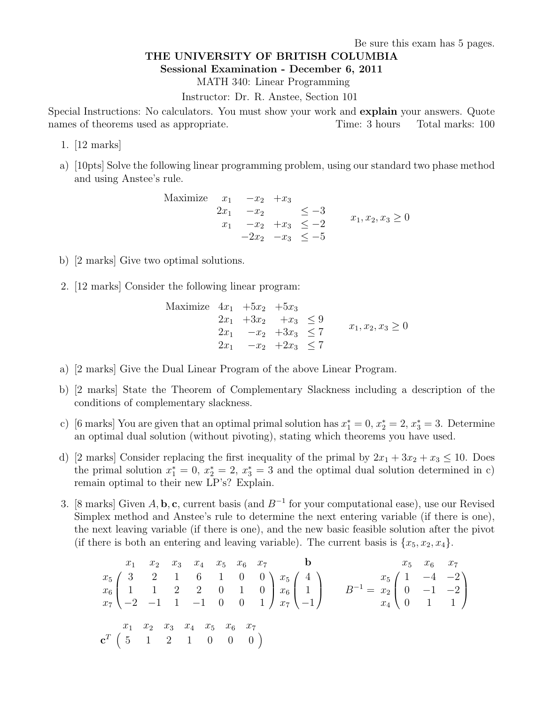Be sure this exam has 5 pages.

## THE UNIVERSITY OF BRITISH COLUMBIA

Sessional Examination - December 6, 2011

MATH 340: Linear Programming

Instructor: Dr. R. Anstee, Section 101

Special Instructions: No calculators. You must show your work and explain your answers. Quote names of theorems used as appropriate. Time: 3 hours Total marks: 100

- 1. [12 marks]
- a) [10pts] Solve the following linear programming problem, using our standard two phase method and using Anstee's rule.

Maximize 
$$
x_1
$$
  $-x_2$   $+x_3$   
\n $2x_1$   $-x_2$   $\leq -3$   
\n $x_1$   $-x_2$   $+x_3$   $\leq -2$   $x_1, x_2, x_3 \geq 0$   
\n $-2x_2$   $-x_3$   $\leq -5$ 

- b) [2 marks] Give two optimal solutions.
- 2. [12 marks] Consider the following linear program:

Maximize 
$$
4x_1 +5x_2 +5x_3
$$
  
\n $2x_1 +3x_2 +x_3 \le 9$   
\n $2x_1 -x_2 +3x_3 \le 7$   
\n $2x_1 -x_2 +2x_3 \le 7$   
\n $x_1, x_2, x_3 \ge 0$ 

- a) [2 marks] Give the Dual Linear Program of the above Linear Program.
- b) [2 marks] State the Theorem of Complementary Slackness including a description of the conditions of complementary slackness.
- c) [6 marks] You are given that an optimal primal solution has  $x_1^* = 0, x_2^* = 2, x_3^* = 3$ . Determine an optimal dual solution (without pivoting), stating which theorems you have used.
- d) [2 marks] Consider replacing the first inequality of the primal by  $2x_1 + 3x_2 + x_3 \le 10$ . Does the primal solution  $x_1^* = 0$ ,  $x_2^* = 2$ ,  $x_3^* = 3$  and the optimal dual solution determined in c) remain optimal to their new LP's? Explain.
- 3. [8 marks] Given A, b, c, current basis (and  $B^{-1}$  for your computational ease), use our Revised Simplex method and Anstee's rule to determine the next entering variable (if there is one), the next leaving variable (if there is one), and the new basic feasible solution after the pivot (if there is both an entering and leaving variable). The current basis is  $\{x_5, x_2, x_4\}$ .

 x<sup>1</sup> x<sup>2</sup> x<sup>3</sup> x<sup>4</sup> x<sup>5</sup> x<sup>6</sup> x<sup>7</sup> x<sup>5</sup> 3 2 1 6 1 0 0 x<sup>6</sup> 1 1 2 2 0 1 0 x<sup>7</sup> −2 −1 1 −1 0 0 1 b x<sup>5</sup> 4 x<sup>6</sup> 1 x<sup>7</sup> −1 <sup>B</sup> <sup>−</sup><sup>1</sup> = x<sup>5</sup> x<sup>6</sup> x<sup>7</sup> x<sup>5</sup> 1 −4 −2 x<sup>2</sup> 0 −1 −2 x<sup>4</sup> 0 1 1 x<sup>1</sup> x<sup>2</sup> x<sup>3</sup> x<sup>4</sup> x<sup>5</sup> x<sup>6</sup> x<sup>7</sup> c <sup>T</sup> 5 1 2 1 0 0 0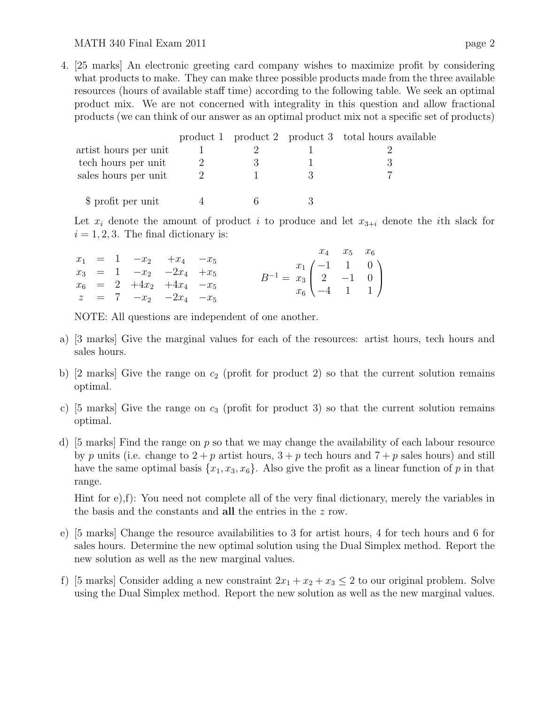## MATH 340 Final Exam 2011 page 2

4. [25 marks] An electronic greeting card company wishes to maximize profit by considering what products to make. They can make three possible products made from the three available resources (hours of available staff time) according to the following table. We seek an optimal product mix. We are not concerned with integrality in this question and allow fractional products (we can think of our answer as an optimal product mix not a specific set of products)

|                       |  | product 1 product 2 product 3 total hours available |
|-----------------------|--|-----------------------------------------------------|
| artist hours per unit |  |                                                     |
| tech hours per unit   |  |                                                     |
| sales hours per unit  |  |                                                     |
| \$ profit per unit    |  |                                                     |

Let  $x_i$  denote the amount of product i to produce and let  $x_{3+i}$  denote the ith slack for  $i = 1, 2, 3$ . The final dictionary is:

|  |                            |  |                                                                                                                                     |  | $x_4$ $x_5$ $x_6$ |
|--|----------------------------|--|-------------------------------------------------------------------------------------------------------------------------------------|--|-------------------|
|  | $x_1 = 1 -x_2 +x_4 -x_5$   |  |                                                                                                                                     |  |                   |
|  | $x_3 = 1 -x_2 -2x_4 +x_5$  |  |                                                                                                                                     |  |                   |
|  | $x_6 = 2 +4x_2 +4x_4 -x_5$ |  | $B^{-1} = \begin{pmatrix} x_1 \ x_3 \ 2 \ -4 \ 1 \ 1 \end{pmatrix}$<br>$x_6 \begin{pmatrix} -1 & 1 & 0 \\ -4 & 1 & 1 \end{pmatrix}$ |  |                   |
|  | $z = 7 -x_2 -2x_4 -x_5$    |  |                                                                                                                                     |  |                   |

NOTE: All questions are independent of one another.

- a) [3 marks] Give the marginal values for each of the resources: artist hours, tech hours and sales hours.
- b) [2 marks] Give the range on  $c_2$  (profit for product 2) so that the current solution remains optimal.
- c) [5 marks] Give the range on  $c_3$  (profit for product 3) so that the current solution remains optimal.
- d) [5 marks] Find the range on  $p$  so that we may change the availability of each labour resource by p units (i.e. change to  $2+p$  artist hours,  $3+p$  tech hours and  $7+p$  sales hours) and still have the same optimal basis  $\{x_1, x_3, x_6\}$ . Also give the profit as a linear function of p in that range.

Hint for e),f): You need not complete all of the very final dictionary, merely the variables in the basis and the constants and all the entries in the z row.

- e) [5 marks] Change the resource availabilities to 3 for artist hours, 4 for tech hours and 6 for sales hours. Determine the new optimal solution using the Dual Simplex method. Report the new solution as well as the new marginal values.
- f) [5 marks] Consider adding a new constraint  $2x_1 + x_2 + x_3 \leq 2$  to our original problem. Solve using the Dual Simplex method. Report the new solution as well as the new marginal values.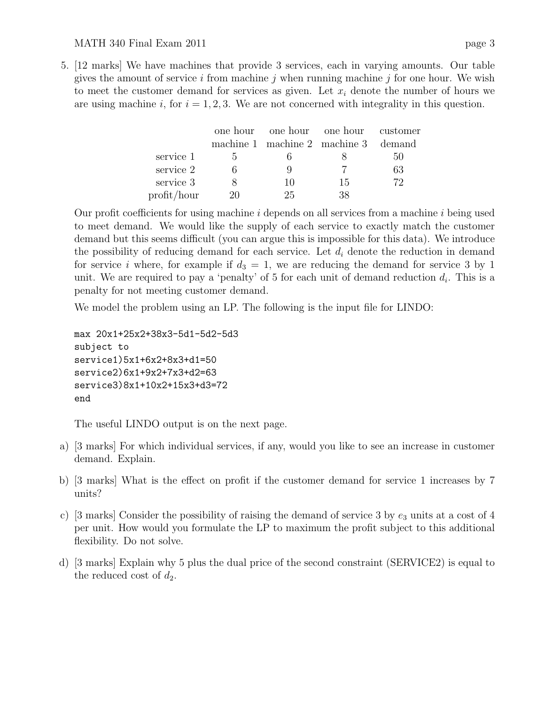## MATH 340 Final Exam 2011 page 3

5. [12 marks] We have machines that provide 3 services, each in varying amounts. Our table gives the amount of service i from machine j when running machine j for one hour. We wish to meet the customer demand for services as given. Let  $x_i$  denote the number of hours we are using machine i, for  $i = 1, 2, 3$ . We are not concerned with integrality in this question.

|             |               |    | one hour one hour one hour customer  |     |
|-------------|---------------|----|--------------------------------------|-----|
|             |               |    | machine 1 machine 2 machine 3 demand |     |
| service 1   | $\mathcal{L}$ |    |                                      | 50  |
| service 2   |               |    |                                      | 63  |
| service 3   |               | 10 | 15                                   | 79. |
| profit/hour | 20            | 25 | 38                                   |     |

Our profit coefficients for using machine  $i$  depends on all services from a machine  $i$  being used to meet demand. We would like the supply of each service to exactly match the customer demand but this seems difficult (you can argue this is impossible for this data). We introduce the possibility of reducing demand for each service. Let  $d_i$  denote the reduction in demand for service i where, for example if  $d_3 = 1$ , we are reducing the demand for service 3 by 1 unit. We are required to pay a 'penalty' of 5 for each unit of demand reduction  $d_i$ . This is a penalty for not meeting customer demand.

We model the problem using an LP. The following is the input file for LINDO:

```
max 20x1+25x2+38x3-5d1-5d2-5d3
subject to
service1)5x1+6x2+8x3+d1=50
service2)6x1+9x2+7x3+d2=63
service3)8x1+10x2+15x3+d3=72
end
```
The useful LINDO output is on the next page.

- a) [3 marks] For which individual services, if any, would you like to see an increase in customer demand. Explain.
- b) [3 marks] What is the effect on profit if the customer demand for service 1 increases by 7 units?
- c) [3 marks] Consider the possibility of raising the demand of service 3 by  $e_3$  units at a cost of 4 per unit. How would you formulate the LP to maximum the profit subject to this additional flexibility. Do not solve.
- d) [3 marks] Explain why 5 plus the dual price of the second constraint (SERVICE2) is equal to the reduced cost of  $d_2$ .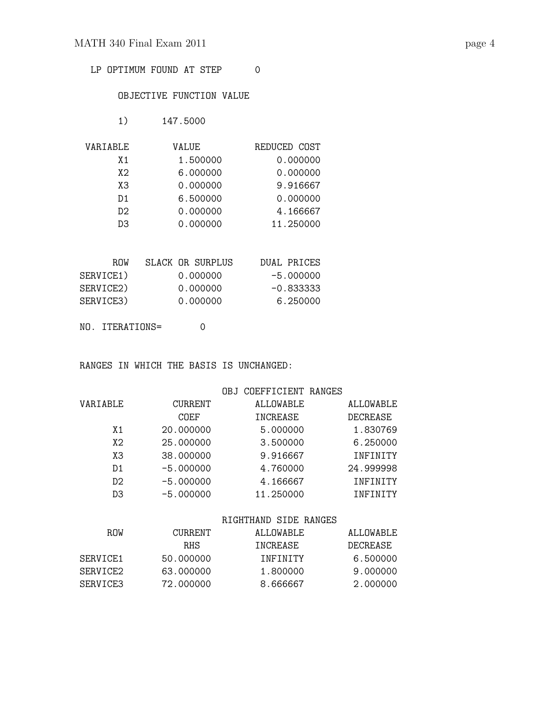LP OPTIMUM FOUND AT STEP 0

## OBJECTIVE FUNCTION VALUE

1) 147.5000

| VARIABLE | VALUE    | REDUCED COST |
|----------|----------|--------------|
| X 1      | 1.500000 | 0.000000     |
| X2       | 6.000000 | 0.000000     |
| XЗ       | 0.000000 | 9.916667     |
| D1       | 6.500000 | 0.000000     |
| D2       | 0.000000 | 4.166667     |
| DЗ       | 0.000000 | 11.250000    |

| <b>ROW</b> | SLACK OR SURPLUS | DUAL PRICES |
|------------|------------------|-------------|
| SERVICE1)  | 0.000000         | $-5.000000$ |
| SERVICE2)  | 0.000000         | -0.833333   |
| SERVICE3)  | 0.000000         | 6.250000    |
|            |                  |             |

NO. ITERATIONS= 0

RANGES IN WHICH THE BASIS IS UNCHANGED:

|                |                | OBJ COEFFICIENT RANGES |           |
|----------------|----------------|------------------------|-----------|
| VARIABLE       | <b>CURRENT</b> | ALLOWABLE              | ALLOWABLE |
|                | COEF           | INCREASE               | DECREASE  |
| X <sub>1</sub> | 20,000000      | 5.000000               | 1.830769  |
| X2             | 25,000000      | 3.500000               | 6.250000  |
| XЗ             | 38,000000      | 9.916667               | INFINITY  |
| D <sub>1</sub> | $-5.000000$    | 4.760000               | 24.999998 |
| D <sub>2</sub> | $-5.000000$    | 4.166667               | INFINITY  |
| D <sub>3</sub> | $-5.000000$    | 11.250000              | INFINITY  |
|                |                |                        |           |
|                |                | RIGHTHAND SIDE RANGES  |           |

| R.OW     | <b>CURRENT</b> | ALLOWABLE       | ALLOWABLE |
|----------|----------------|-----------------|-----------|
|          | R.H.S          | <b>TNCREASE</b> | DECREASE. |
| SERVICE1 | 50.000000      | <b>TNFTNTTY</b> | 6.500000  |
| SERVICE2 | 63.000000      | 1.800000        | 9.000000  |
| SERVICE3 | 72.000000      | 8.666667        | 2.000000  |
|          |                |                 |           |